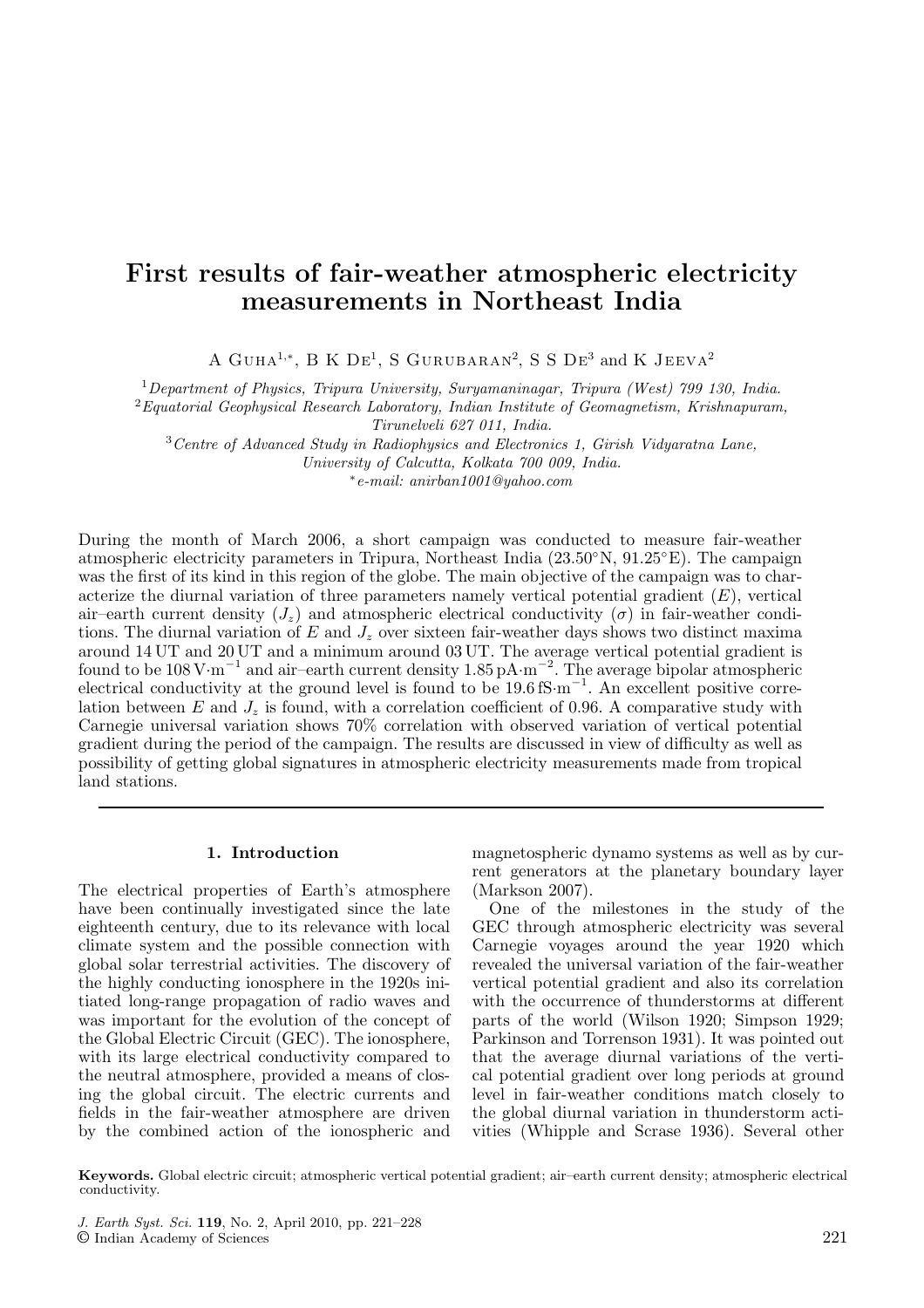# **First results of fair-weather atmospheric electricity measurements in Northeast India**

A GUHA<sup>1,∗</sup>, B K DE<sup>1</sup>, S GURUBARAN<sup>2</sup>, S S DE<sup>3</sup> and K JEEVA<sup>2</sup>

<sup>1</sup>*Department of Physics, Tripura University, Suryamaninagar, Tripura (West) 799 130, India.*

<sup>2</sup>*Equatorial Geophysical Research Laboratory, Indian Institute of Geomagnetism, Krishnapuram, Tirunelveli 627 011, India.*

<sup>3</sup>*Centre of Advanced Study in Radiophysics and Electronics 1, Girish Vidyaratna Lane,*

*University of Calcutta, Kolkata 700 009, India.*

∗*e-mail: anirban1001@yahoo.com*

During the month of March 2006, a short campaign was conducted to measure fair-weather atmospheric electricity parameters in Tripura, Northeast India (23.50◦N, 91.25◦E). The campaign was the first of its kind in this region of the globe. The main objective of the campaign was to characterize the diurnal variation of three parameters namely vertical potential gradient  $(E)$ , vertical air–earth current density  $(J_z)$  and atmospheric electrical conductivity  $(\sigma)$  in fair-weather conditions. The diurnal variation of E and  $J_z$  over sixteen fair-weather days shows two distinct maxima around 14 UT and 20 UT and a minimum around 03 UT. The average vertical potential gradient is found to be 108 V*·*m−<sup>1</sup> and air–earth current density 1.85 pA*·*m−<sup>2</sup> . The average bipolar atmospheric electrical conductivity at the ground level is found to be 19.6 fS·m<sup>−1</sup>. An excellent positive correlation between  $E$  and  $J_z$  is found, with a correlation coefficient of 0.96. A comparative study with Carnegie universal variation shows 70% correlation with observed variation of vertical potential gradient during the period of the campaign. The results are discussed in view of difficulty as well as possibility of getting global signatures in atmospheric electricity measurements made from tropical land stations.

## **1. Introduction**

The electrical properties of Earth's atmosphere have been continually investigated since the late eighteenth century, due to its relevance with local climate system and the possible connection with global solar terrestrial activities. The discovery of the highly conducting ionosphere in the 1920s initiated long-range propagation of radio waves and was important for the evolution of the concept of the Global Electric Circuit (GEC). The ionosphere, with its large electrical conductivity compared to the neutral atmosphere, provided a means of closing the global circuit. The electric currents and fields in the fair-weather atmosphere are driven by the combined action of the ionospheric and

magnetospheric dynamo systems as well as by current generators at the planetary boundary layer (Markson 2007).

One of the milestones in the study of the GEC through atmospheric electricity was several Carnegie voyages around the year 1920 which revealed the universal variation of the fair-weather vertical potential gradient and also its correlation with the occurrence of thunderstorms at different parts of the world (Wilson 1920; Simpson 1929; Parkinson and Torrenson 1931). It was pointed out that the average diurnal variations of the vertical potential gradient over long periods at ground level in fair-weather conditions match closely to the global diurnal variation in thunderstorm activities (Whipple and Scrase 1936). Several other

**Keywords.** Global electric circuit; atmospheric vertical potential gradient; air–earth current density; atmospheric electrical conductivity.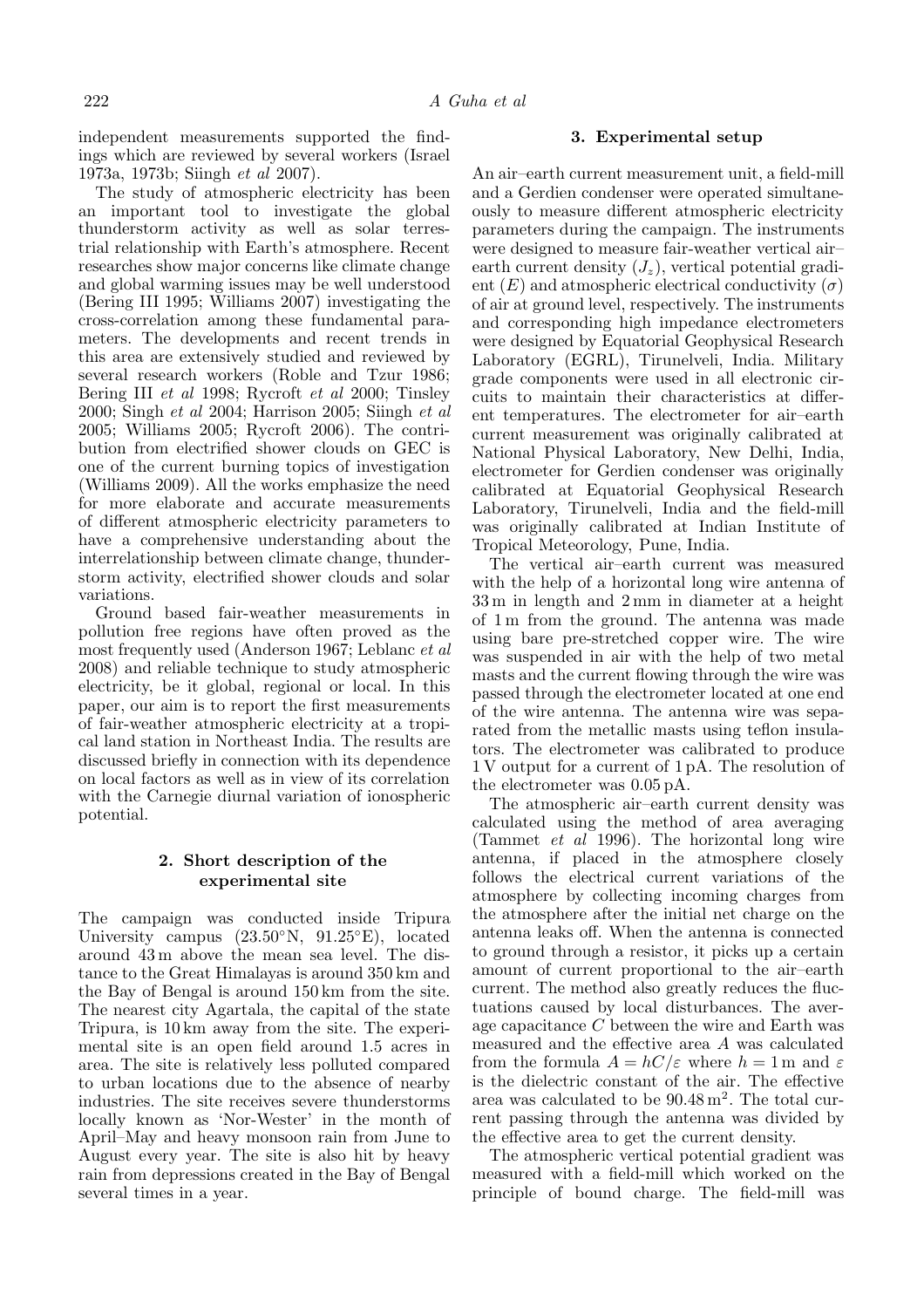independent measurements supported the findings which are reviewed by several workers (Israel 1973a, 1973b; Siingh *et al* 2007).

The study of atmospheric electricity has been an important tool to investigate the global thunderstorm activity as well as solar terrestrial relationship with Earth's atmosphere. Recent researches show major concerns like climate change and global warming issues may be well understood (Bering III 1995; Williams 2007) investigating the cross-correlation among these fundamental parameters. The developments and recent trends in this area are extensively studied and reviewed by several research workers (Roble and Tzur 1986; Bering III *et al* 1998; Rycroft *et al* 2000; Tinsley 2000; Singh *et al* 2004; Harrison 2005; Siingh *et al* 2005; Williams 2005; Rycroft 2006). The contribution from electrified shower clouds on GEC is one of the current burning topics of investigation (Williams 2009). All the works emphasize the need for more elaborate and accurate measurements of different atmospheric electricity parameters to have a comprehensive understanding about the interrelationship between climate change, thunderstorm activity, electrified shower clouds and solar variations.

Ground based fair-weather measurements in pollution free regions have often proved as the most frequently used (Anderson 1967; Leblanc *et al* 2008) and reliable technique to study atmospheric electricity, be it global, regional or local. In this paper, our aim is to report the first measurements of fair-weather atmospheric electricity at a tropical land station in Northeast India. The results are discussed briefly in connection with its dependence on local factors as well as in view of its correlation with the Carnegie diurnal variation of ionospheric potential.

## **2. Short description of the experimental site**

The campaign was conducted inside Tripura University campus (23.50◦N, 91.25◦E), located around 43 m above the mean sea level. The distance to the Great Himalayas is around 350 km and the Bay of Bengal is around 150 km from the site. The nearest city Agartala, the capital of the state Tripura, is 10 km away from the site. The experimental site is an open field around 1.5 acres in area. The site is relatively less polluted compared to urban locations due to the absence of nearby industries. The site receives severe thunderstorms locally known as 'Nor-Wester' in the month of April–May and heavy monsoon rain from June to August every year. The site is also hit by heavy rain from depressions created in the Bay of Bengal several times in a year.

## **3. Experimental setup**

An air–earth current measurement unit, a field-mill and a Gerdien condenser were operated simultaneously to measure different atmospheric electricity parameters during the campaign. The instruments were designed to measure fair-weather vertical air– earth current density  $(J_z)$ , vertical potential gradient  $(E)$  and atmospheric electrical conductivity  $(\sigma)$ of air at ground level, respectively. The instruments and corresponding high impedance electrometers were designed by Equatorial Geophysical Research Laboratory (EGRL), Tirunelveli, India. Military grade components were used in all electronic circuits to maintain their characteristics at different temperatures. The electrometer for air–earth current measurement was originally calibrated at National Physical Laboratory, New Delhi, India, electrometer for Gerdien condenser was originally calibrated at Equatorial Geophysical Research Laboratory, Tirunelveli, India and the field-mill was originally calibrated at Indian Institute of Tropical Meteorology, Pune, India.

The vertical air–earth current was measured with the help of a horizontal long wire antenna of 33 m in length and 2 mm in diameter at a height of 1 m from the ground. The antenna was made using bare pre-stretched copper wire. The wire was suspended in air with the help of two metal masts and the current flowing through the wire was passed through the electrometer located at one end of the wire antenna. The antenna wire was separated from the metallic masts using teflon insulators. The electrometer was calibrated to produce 1 V output for a current of 1 pA. The resolution of the electrometer was 0.05 pA.

The atmospheric air–earth current density was calculated using the method of area averaging (Tammet *et al* 1996). The horizontal long wire antenna, if placed in the atmosphere closely follows the electrical current variations of the atmosphere by collecting incoming charges from the atmosphere after the initial net charge on the antenna leaks off. When the antenna is connected to ground through a resistor, it picks up a certain amount of current proportional to the air–earth current. The method also greatly reduces the fluctuations caused by local disturbances. The average capacitance C between the wire and Earth was measured and the effective area A was calculated from the formula  $A = hC/\varepsilon$  where  $h = 1$  m and  $\varepsilon$ is the dielectric constant of the air. The effective area was calculated to be  $90.48 \,\mathrm{m}^2$ . The total current passing through the antenna was divided by the effective area to get the current density.

The atmospheric vertical potential gradient was measured with a field-mill which worked on the principle of bound charge. The field-mill was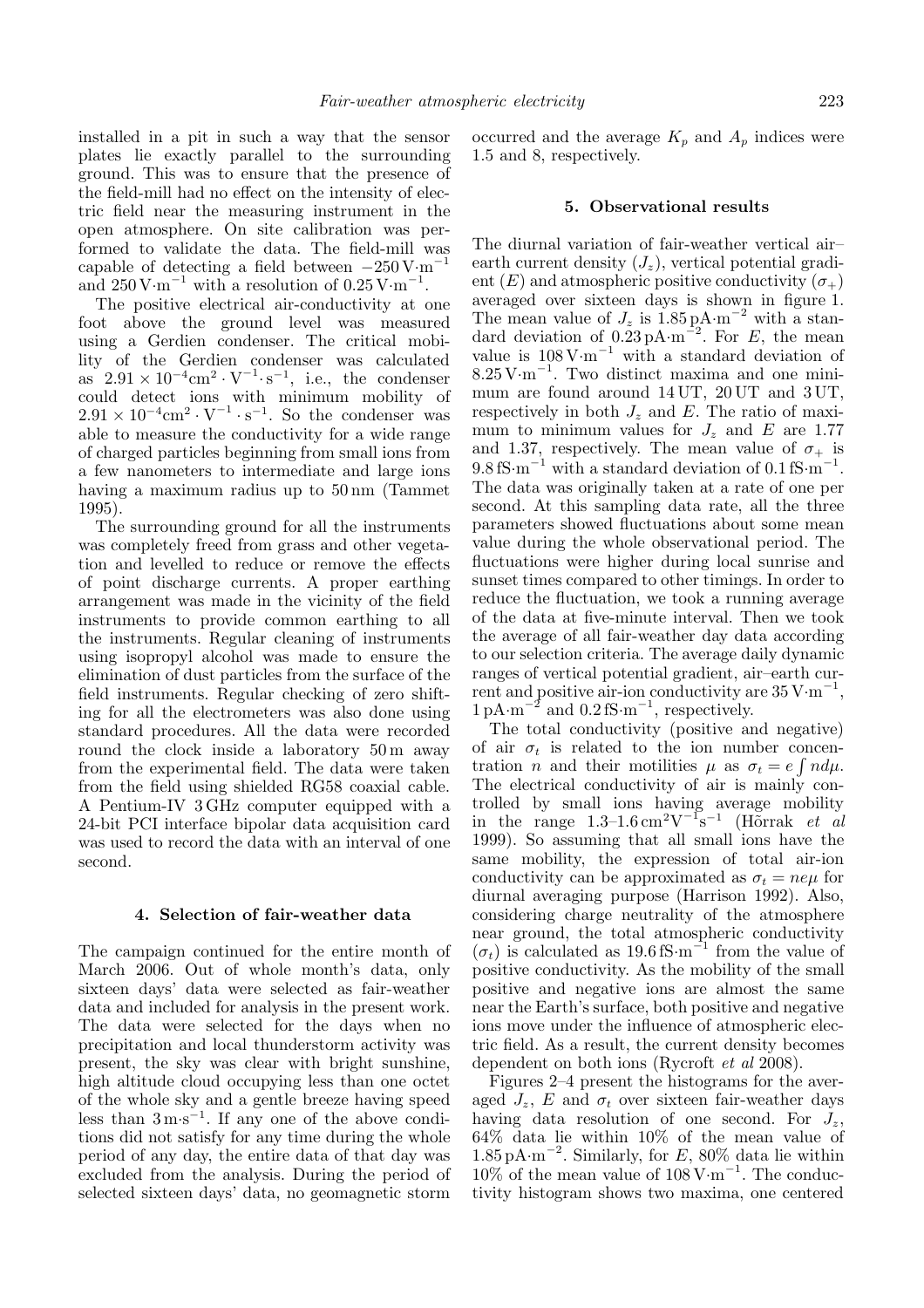installed in a pit in such a way that the sensor plates lie exactly parallel to the surrounding ground. This was to ensure that the presence of the field-mill had no effect on the intensity of electric field near the measuring instrument in the open atmosphere. On site calibration was performed to validate the data. The field-mill was capable of detecting a field between *<sup>−</sup>*250 V*·*m−<sup>1</sup> and  $250 \,\mathrm{V} \cdot \mathrm{m}^{-1}$  with a resolution of  $0.25 \,\mathrm{V} \cdot \mathrm{m}^{-1}$ .

The positive electrical air-conductivity at one foot above the ground level was measured using a Gerdien condenser. The critical mobility of the Gerdien condenser was calculated as  $2.91 \times 10^{-4} \text{cm}^2 \cdot \text{V}^{-1} \text{ s}^{-1}$ , i.e., the condenser could detect ions with minimum mobility of  $2.91 \times 10^{-4}$ cm<sup>2</sup> · V<sup>-1</sup> · s<sup>-1</sup>. So the condenser was able to measure the conductivity for a wide range of charged particles beginning from small ions from a few nanometers to intermediate and large ions having a maximum radius up to 50 nm (Tammet 1995).

The surrounding ground for all the instruments was completely freed from grass and other vegetation and levelled to reduce or remove the effects of point discharge currents. A proper earthing arrangement was made in the vicinity of the field instruments to provide common earthing to all the instruments. Regular cleaning of instruments using isopropyl alcohol was made to ensure the elimination of dust particles from the surface of the field instruments. Regular checking of zero shifting for all the electrometers was also done using standard procedures. All the data were recorded round the clock inside a laboratory 50 m away from the experimental field. The data were taken from the field using shielded RG58 coaxial cable. A Pentium-IV 3 GHz computer equipped with a 24-bit PCI interface bipolar data acquisition card was used to record the data with an interval of one second.

## **4. Selection of fair-weather data**

The campaign continued for the entire month of March 2006. Out of whole month's data, only sixteen days' data were selected as fair-weather data and included for analysis in the present work. The data were selected for the days when no precipitation and local thunderstorm activity was present, the sky was clear with bright sunshine, high altitude cloud occupying less than one octet of the whole sky and a gentle breeze having speed less than 3 m*·*s−<sup>1</sup>. If any one of the above conditions did not satisfy for any time during the whole period of any day, the entire data of that day was excluded from the analysis. During the period of selected sixteen days' data, no geomagnetic storm

occurred and the average  $K_p$  and  $A_p$  indices were 1.5 and 8, respectively.

## **5. Observational results**

The diurnal variation of fair-weather vertical air– earth current density  $(J_z)$ , vertical potential gradient  $(E)$  and atmospheric positive conductivity  $(\sigma_{+})$ averaged over sixteen days is shown in figure 1. The mean value of  $J_z$  is 1.85 pA·m<sup>-2</sup> with a standard deviation of  $0.\overline{2}3 \text{ pA} \cdot \text{m}^{-2}$ . For E, the mean value is 108 V*·*m−<sup>1</sup> with a standard deviation of  $8.25 \text{ V} \cdot \text{m}^{-1}$ . Two distinct maxima and one minimum are found around 14 UT, 20 UT and 3 UT, respectively in both  $J_z$  and  $E$ . The ratio of maximum to minimum values for  $J_z$  and  $E$  are 1.77 and 1.37, respectively. The mean value of  $\sigma_{+}$  is 9.8 fS·m<sup>-1</sup> with a standard deviation of 0.1 fS·m<sup>-1</sup>. The data was originally taken at a rate of one per second. At this sampling data rate, all the three parameters showed fluctuations about some mean value during the whole observational period. The fluctuations were higher during local sunrise and sunset times compared to other timings. In order to reduce the fluctuation, we took a running average of the data at five-minute interval. Then we took the average of all fair-weather day data according to our selection criteria. The average daily dynamic ranges of vertical potential gradient, air–earth current and positive air-ion conductivity are  $35 \text{ V} \cdot \text{m}^{-1}$ , 1 pA*·*m−<sup>2</sup> and 0.2 fS*·*m−<sup>1</sup> , respectively.

The total conductivity (positive and negative) of air  $\sigma_t$  is related to the ion number concentration *n* and their motilities  $\mu$  as  $\sigma_t = e \int n d\mu$ . The electrical conductivity of air is mainly controlled by small ions having average mobility in the range  $1.3-1.6 \,\mathrm{cm}^2 \mathrm{V}^{-1} \mathrm{s}^{-1}$  (Horrak *et al* 1999). So assuming that all small ions have the same mobility, the expression of total air-ion conductivity can be approximated as  $\sigma_t = n e \mu$  for diurnal averaging purpose (Harrison 1992). Also, considering charge neutrality of the atmosphere near ground, the total atmospheric conductivity  $(\sigma_t)$  is calculated as 19.6 fS·m<sup>-1</sup> from the value of positive conductivity. As the mobility of the small positive and negative ions are almost the same near the Earth's surface, both positive and negative ions move under the influence of atmospheric electric field. As a result, the current density becomes dependent on both ions (Rycroft *et al* 2008).

Figures 2–4 present the histograms for the averaged  $J_z$ , E and  $\sigma_t$  over sixteen fair-weather days having data resolution of one second. For  $J_z$ , 64% data lie within 10% of the mean value of  $1.85 \,\mathrm{pA\cdot m}^{-2}$ . Similarly, for  $E$ , 80% data lie within 10% of the mean value of 108 V*·*m−<sup>1</sup> . The conductivity histogram shows two maxima, one centered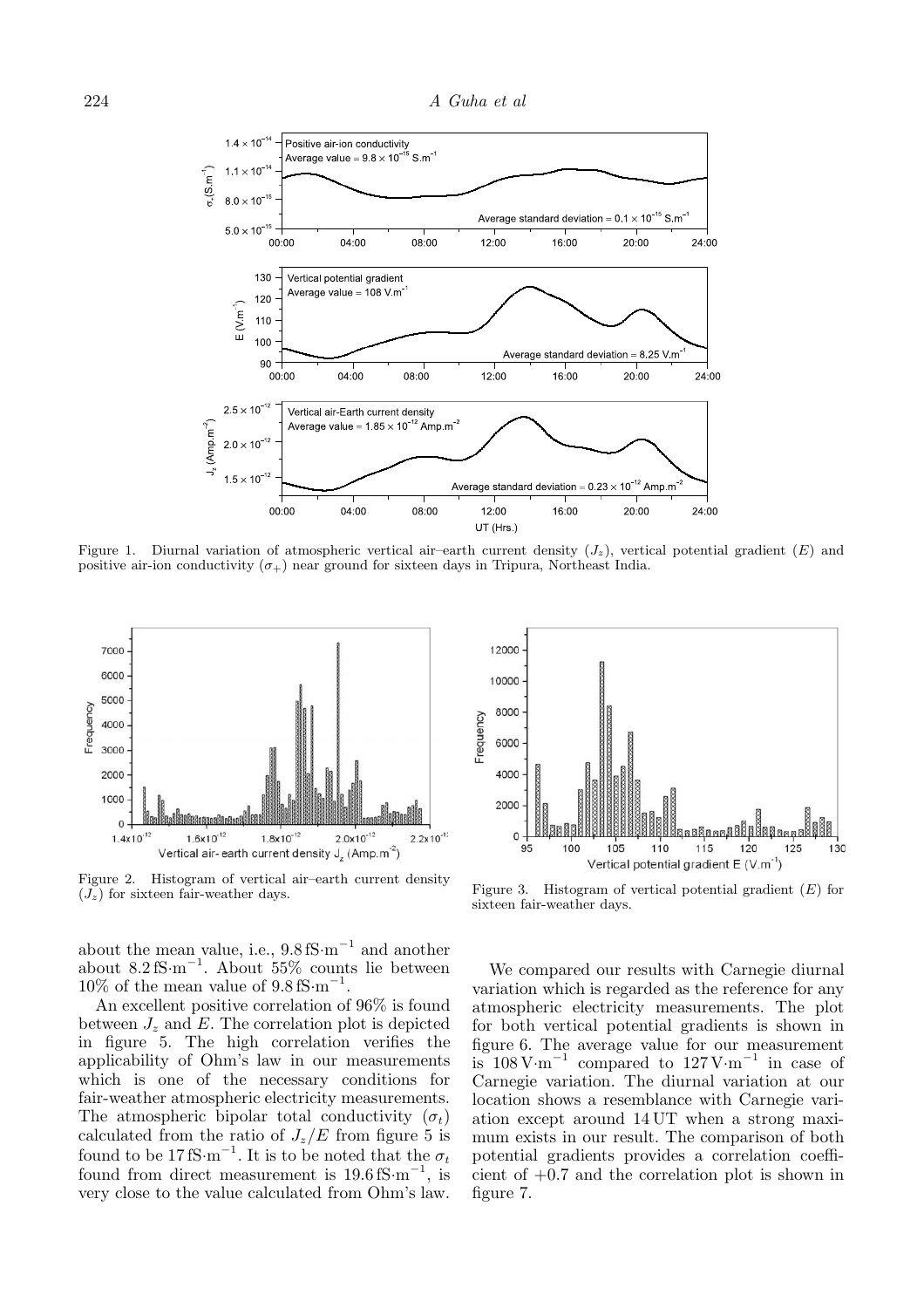

Figure 1. Diurnal variation of atmospheric vertical air-earth current density  $(J_z)$ , vertical potential gradient  $(E)$  and positive air-ion conductivity  $(\sigma_{+})$  near ground for sixteen days in Tripura, Northeast India.



Figure 2. Histogram of vertical air–earth current density  $(J_z)$  for sixteen fair-weather days.

about the mean value, i.e., 9.8 fS*·*m−<sup>1</sup> and another about  $8.2 \text{ fS} \cdot \text{m}^{-1}$ . About 55% counts lie between 10% of the mean value of 9.8 fS*·*m−<sup>1</sup> .

An excellent positive correlation of 96% is found between  $J_z$  and  $E$ . The correlation plot is depicted in figure 5. The high correlation verifies the applicability of Ohm's law in our measurements which is one of the necessary conditions for fair-weather atmospheric electricity measurements. The atmospheric bipolar total conductivity  $(\sigma_t)$ calculated from the ratio of  $J_z/E$  from figure 5 is found to be 17 fS·m<sup>-1</sup>. It is to be noted that the  $\sigma_t$ found from direct measurement is 19.6 fS*·*m−<sup>1</sup> , is very close to the value calculated from Ohm's law.



Figure 3. Histogram of vertical potential gradient  $(E)$  for sixteen fair-weather days.

We compared our results with Carnegie diurnal variation which is regarded as the reference for any atmospheric electricity measurements. The plot for both vertical potential gradients is shown in figure 6. The average value for our measurement is 108 V*·*m−<sup>1</sup> compared to 127 V*·*m−<sup>1</sup> in case of Carnegie variation. The diurnal variation at our location shows a resemblance with Carnegie variation except around 14 UT when a strong maximum exists in our result. The comparison of both potential gradients provides a correlation coefficient of +0.7 and the correlation plot is shown in figure 7.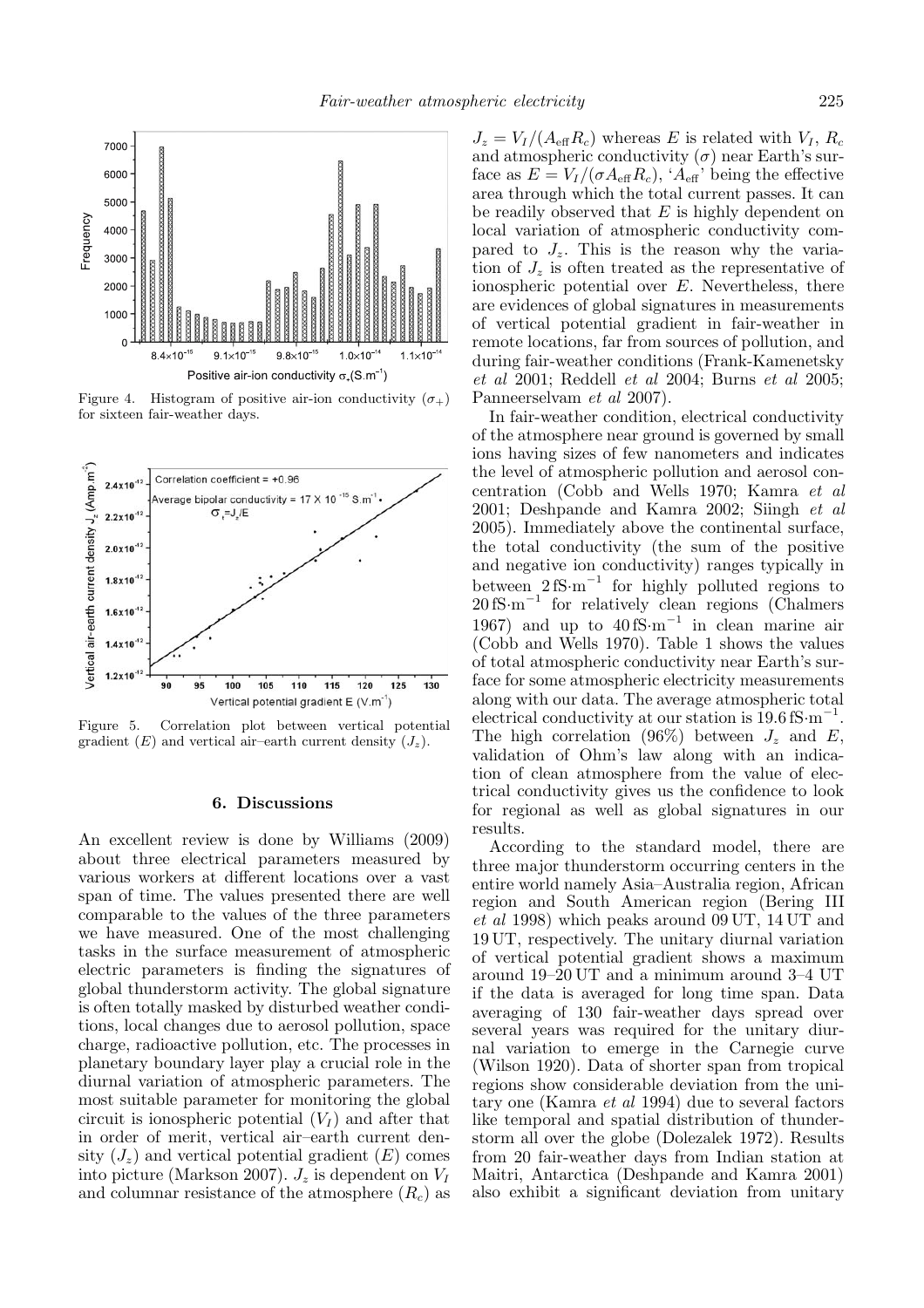

Figure 4. Histogram of positive air-ion conductivity  $(\sigma_+)$ for sixteen fair-weather days.



Figure 5. Correlation plot between vertical potential gradient  $(E)$  and vertical air–earth current density  $(J_z)$ .

#### **6. Discussions**

An excellent review is done by Williams (2009) about three electrical parameters measured by various workers at different locations over a vast span of time. The values presented there are well comparable to the values of the three parameters we have measured. One of the most challenging tasks in the surface measurement of atmospheric electric parameters is finding the signatures of global thunderstorm activity. The global signature is often totally masked by disturbed weather conditions, local changes due to aerosol pollution, space charge, radioactive pollution, etc. The processes in planetary boundary layer play a crucial role in the diurnal variation of atmospheric parameters. The most suitable parameter for monitoring the global circuit is ionospheric potential  $(V_I)$  and after that in order of merit, vertical air–earth current density  $(J_z)$  and vertical potential gradient  $(E)$  comes into picture (Markson 2007).  $J_z$  is dependent on  $V_I$ and columnar resistance of the atmosphere (R*c*) as

 $J_z = V_I / (A_{\text{eff}} R_c)$  whereas E is related with  $V_I, R_c$ and atmospheric conductivity  $(\sigma)$  near Earth's surface as  $E = V_I/(\sigma A_{\text{eff}} R_c)$ , ' $A_{\text{eff}}$ ' being the effective area through which the total current passes. It can be readily observed that  $E$  is highly dependent on local variation of atmospheric conductivity compared to  $J_z$ . This is the reason why the variation of  $J_z$  is often treated as the representative of ionospheric potential over  $E$ . Nevertheless, there are evidences of global signatures in measurements of vertical potential gradient in fair-weather in remote locations, far from sources of pollution, and during fair-weather conditions (Frank-Kamenetsky *et al* 2001; Reddell *et al* 2004; Burns *et al* 2005; Panneerselvam *et al* 2007).

In fair-weather condition, electrical conductivity of the atmosphere near ground is governed by small ions having sizes of few nanometers and indicates the level of atmospheric pollution and aerosol concentration (Cobb and Wells 1970; Kamra *et al* 2001; Deshpande and Kamra 2002; Siingh *et al* 2005). Immediately above the continental surface, the total conductivity (the sum of the positive and negative ion conductivity) ranges typically in between  $2 fS·m^{-1}$  for highly polluted regions to 20 fS*·*m−<sup>1</sup> for relatively clean regions (Chalmers 1967) and up to 40 fS*·*m−<sup>1</sup> in clean marine air  $(Cobb)$  and Wells 1970). Table 1 shows the values of total atmospheric conductivity near Earth's surface for some atmospheric electricity measurements along with our data. The average atmospheric total electrical conductivity at our station is 19.6 fS*·*m−<sup>1</sup> . The high correlation  $(96\%)$  between  $J_z$  and  $E$ , validation of Ohm's law along with an indication of clean atmosphere from the value of electrical conductivity gives us the confidence to look for regional as well as global signatures in our results.

According to the standard model, there are three major thunderstorm occurring centers in the entire world namely Asia–Australia region, African region and South American region (Bering III *et al* 1998) which peaks around 09 UT, 14 UT and 19 UT, respectively. The unitary diurnal variation of vertical potential gradient shows a maximum around 19–20 UT and a minimum around 3–4 UT if the data is averaged for long time span. Data averaging of 130 fair-weather days spread over several years was required for the unitary diurnal variation to emerge in the Carnegie curve (Wilson 1920). Data of shorter span from tropical regions show considerable deviation from the unitary one (Kamra *et al* 1994) due to several factors like temporal and spatial distribution of thunderstorm all over the globe (Dolezalek 1972). Results from 20 fair-weather days from Indian station at Maitri, Antarctica (Deshpande and Kamra 2001) also exhibit a significant deviation from unitary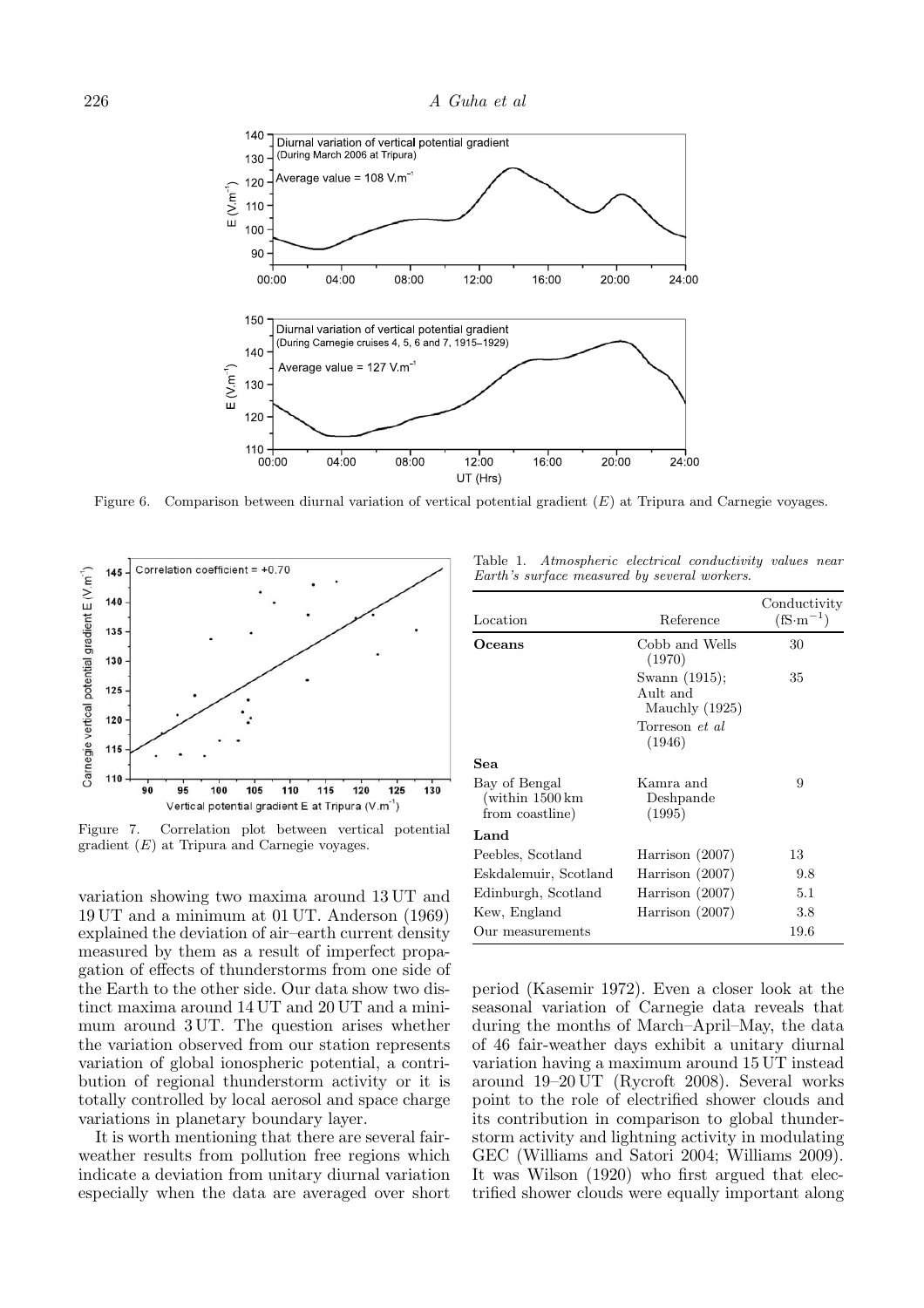

Figure 6. Comparison between diurnal variation of vertical potential gradient (E) at Tripura and Carnegie voyages.



Figure 7. Correlation plot between vertical potential gradient  $(E)$  at Tripura and Carnegie voyages.

variation showing two maxima around 13 UT and 19 UT and a minimum at 01 UT. Anderson (1969) explained the deviation of air–earth current density measured by them as a result of imperfect propagation of effects of thunderstorms from one side of the Earth to the other side. Our data show two distinct maxima around 14 UT and 20 UT and a minimum around 3 UT. The question arises whether the variation observed from our station represents variation of global ionospheric potential, a contribution of regional thunderstorm activity or it is totally controlled by local aerosol and space charge variations in planetary boundary layer.

It is worth mentioning that there are several fairweather results from pollution free regions which indicate a deviation from unitary diurnal variation especially when the data are averaged over short

Table 1. *Atmospheric electrical conductivity values near Earth's surface measured by several workers*.

| Location                                                               | Reference                                   | Conductivity<br>$(fS\cdot m^{-1})$ |
|------------------------------------------------------------------------|---------------------------------------------|------------------------------------|
| Oceans                                                                 | Cobb and Wells<br>(1970)                    | 30                                 |
|                                                                        | Swann (1915);<br>Ault and<br>Mauchly (1925) | 35                                 |
|                                                                        | Torreson <i>et al</i><br>(1946)             |                                    |
| Sea                                                                    |                                             |                                    |
| Bay of Bengal<br>$(\text{within } 1500 \text{ km})$<br>from coastline) | Kamra and<br>Deshpande<br>(1995)            | 9                                  |
| Land                                                                   |                                             |                                    |
| Peebles, Scotland                                                      | Harrison (2007)                             | 13                                 |
| Eskdalemuir, Scotland                                                  | Harrison $(2007)$                           | 9.8                                |
| Edinburgh, Scotland                                                    | Harrison (2007)                             | 5.1                                |
| Kew, England                                                           | Harrison (2007)                             | 3.8                                |
| Our measurements                                                       |                                             | 19.6                               |

period (Kasemir 1972). Even a closer look at the seasonal variation of Carnegie data reveals that during the months of March–April–May, the data of 46 fair-weather days exhibit a unitary diurnal variation having a maximum around 15 UT instead around 19–20 UT (Rycroft 2008). Several works point to the role of electrified shower clouds and its contribution in comparison to global thunderstorm activity and lightning activity in modulating GEC (Williams and Satori 2004; Williams 2009). It was Wilson (1920) who first argued that electrified shower clouds were equally important along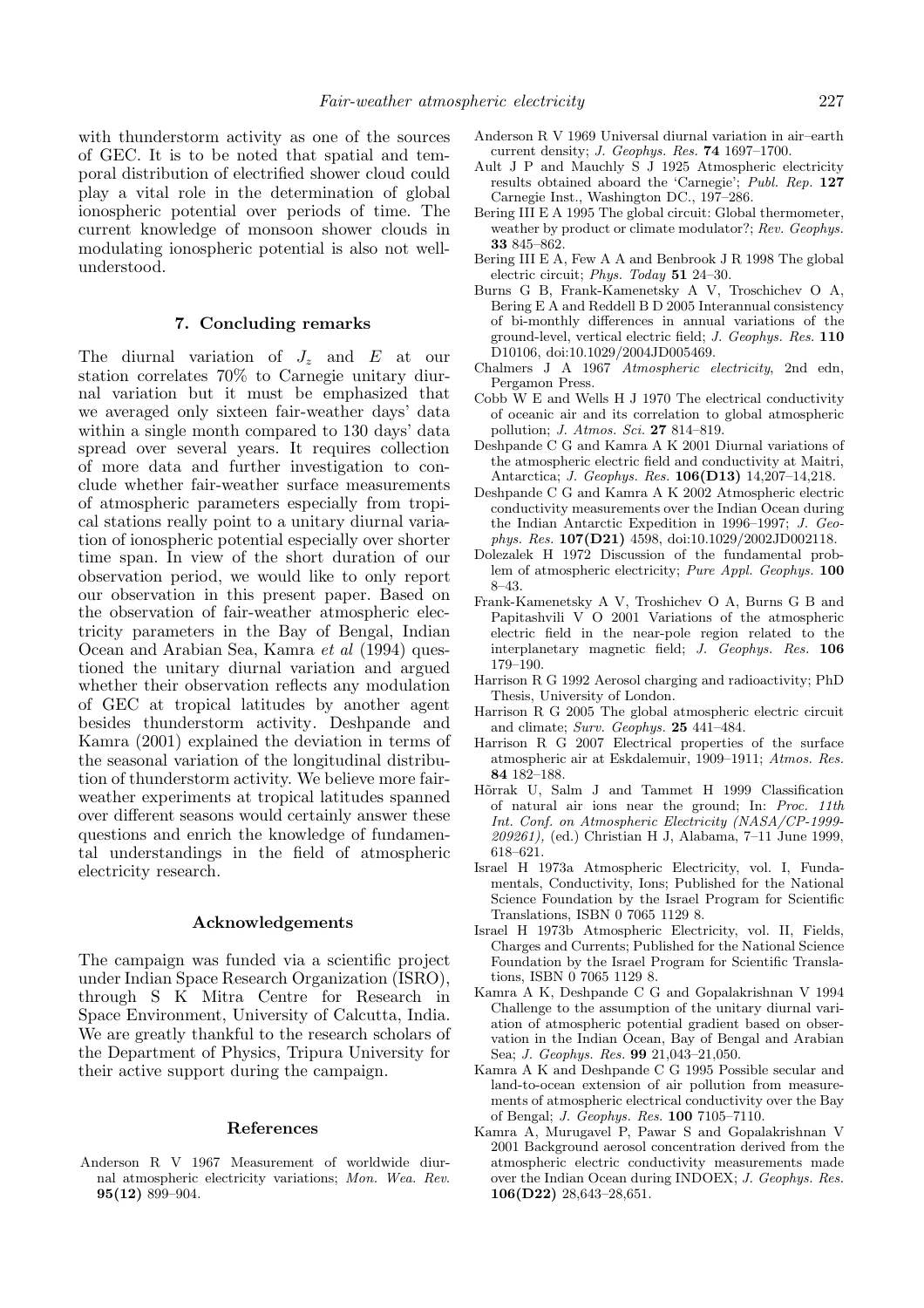with thunderstorm activity as one of the sources of GEC. It is to be noted that spatial and temporal distribution of electrified shower cloud could play a vital role in the determination of global ionospheric potential over periods of time. The current knowledge of monsoon shower clouds in modulating ionospheric potential is also not wellunderstood.

## **7. Concluding remarks**

The diurnal variation of  $J_z$  and  $E$  at our station correlates 70% to Carnegie unitary diurnal variation but it must be emphasized that we averaged only sixteen fair-weather days' data within a single month compared to 130 days' data spread over several years. It requires collection of more data and further investigation to conclude whether fair-weather surface measurements of atmospheric parameters especially from tropical stations really point to a unitary diurnal variation of ionospheric potential especially over shorter time span. In view of the short duration of our observation period, we would like to only report our observation in this present paper. Based on the observation of fair-weather atmospheric electricity parameters in the Bay of Bengal, Indian Ocean and Arabian Sea, Kamra *et al* (1994) questioned the unitary diurnal variation and argued whether their observation reflects any modulation of GEC at tropical latitudes by another agent besides thunderstorm activity. Deshpande and Kamra (2001) explained the deviation in terms of the seasonal variation of the longitudinal distribution of thunderstorm activity. We believe more fairweather experiments at tropical latitudes spanned over different seasons would certainly answer these questions and enrich the knowledge of fundamental understandings in the field of atmospheric electricity research.

#### **Acknowledgements**

The campaign was funded via a scientific project under Indian Space Research Organization (ISRO), through S K Mitra Centre for Research in Space Environment, University of Calcutta, India. We are greatly thankful to the research scholars of the Department of Physics, Tripura University for their active support during the campaign.

#### **References**

Anderson R V 1967 Measurement of worldwide diurnal atmospheric electricity variations; *Mon. Wea. Rev*. **95(12)** 899–904.

- Anderson R V 1969 Universal diurnal variation in air–earth current density; *J. Geophys. Res.* **74** 1697–1700.
- Ault J P and Mauchly S J 1925 Atmospheric electricity results obtained aboard the 'Carnegie'; *Publ. Rep.* **127** Carnegie Inst., Washington DC., 197–286.
- Bering III E A 1995 The global circuit: Global thermometer, weather by product or climate modulator?; *Rev. Geophys.* **33** 845–862.
- Bering III E A, Few A A and Benbrook J R 1998 The global electric circuit; *Phys. Today* **51** 24–30.
- Burns G B, Frank-Kamenetsky A V, Troschichev O A, Bering E A and Reddell B D 2005 Interannual consistency of bi-monthly differences in annual variations of the ground-level, vertical electric field; *J. Geophys. Res.* **110** D10106, doi:10.1029/2004JD005469.
- Chalmers J A 1967 *Atmospheric electricity*, 2nd edn, Pergamon Press.
- Cobb W E and Wells H J 1970 The electrical conductivity of oceanic air and its correlation to global atmospheric pollution; *J. Atmos. Sci.* **27** 814–819.
- Deshpande C G and Kamra A K 2001 Diurnal variations of the atmospheric electric field and conductivity at Maitri, Antarctica; *J. Geophys. Res.* **106(D13)** 14,207–14,218.
- Deshpande C G and Kamra A K 2002 Atmospheric electric conductivity measurements over the Indian Ocean during the Indian Antarctic Expedition in 1996–1997; *J. Geophys. Res.* **107(D21)** 4598, doi:10.1029/2002JD002118.
- Dolezalek H 1972 Discussion of the fundamental problem of atmospheric electricity; *Pure Appl. Geophys.* **100** 8–43.
- Frank-Kamenetsky A V, Troshichev O A, Burns G B and Papitashvili V O 2001 Variations of the atmospheric electric field in the near-pole region related to the interplanetary magnetic field; *J. Geophys. Res.* **106** 179–190.
- Harrison R G 1992 Aerosol charging and radioactivity; PhD Thesis, University of London.
- Harrison R G 2005 The global atmospheric electric circuit and climate; *Surv. Geophys.* **25** 441–484.
- Harrison R G 2007 Electrical properties of the surface atmospheric air at Eskdalemuir, 1909–1911; *Atmos. Res.* **84** 182–188.
- H<sub>o</sub>rrak U, Salm J and Tammet H 1999 Classification of natural air ions near the ground; In: *Proc. 11th Int. Conf. on Atmospheric Electricity (NASA/CP-1999- 209261),* (ed.) Christian H J, Alabama, 7–11 June 1999, 618–621.
- Israel H 1973a Atmospheric Electricity, vol. I, Fundamentals, Conductivity, Ions; Published for the National Science Foundation by the Israel Program for Scientific Translations, ISBN 0 7065 1129 8.
- Israel H 1973b Atmospheric Electricity, vol. II, Fields, Charges and Currents; Published for the National Science Foundation by the Israel Program for Scientific Translations, ISBN 0 7065 1129 8.
- Kamra A K, Deshpande C G and Gopalakrishnan V 1994 Challenge to the assumption of the unitary diurnal variation of atmospheric potential gradient based on observation in the Indian Ocean, Bay of Bengal and Arabian Sea; *J. Geophys. Res.* **99** 21,043–21,050.
- Kamra A K and Deshpande C G 1995 Possible secular and land-to-ocean extension of air pollution from measurements of atmospheric electrical conductivity over the Bay of Bengal; *J. Geophys. Res.* **100** 7105–7110.
- Kamra A, Murugavel P, Pawar S and Gopalakrishnan V 2001 Background aerosol concentration derived from the atmospheric electric conductivity measurements made over the Indian Ocean during INDOEX; *J. Geophys. Res.* **106(D22)** 28,643–28,651.